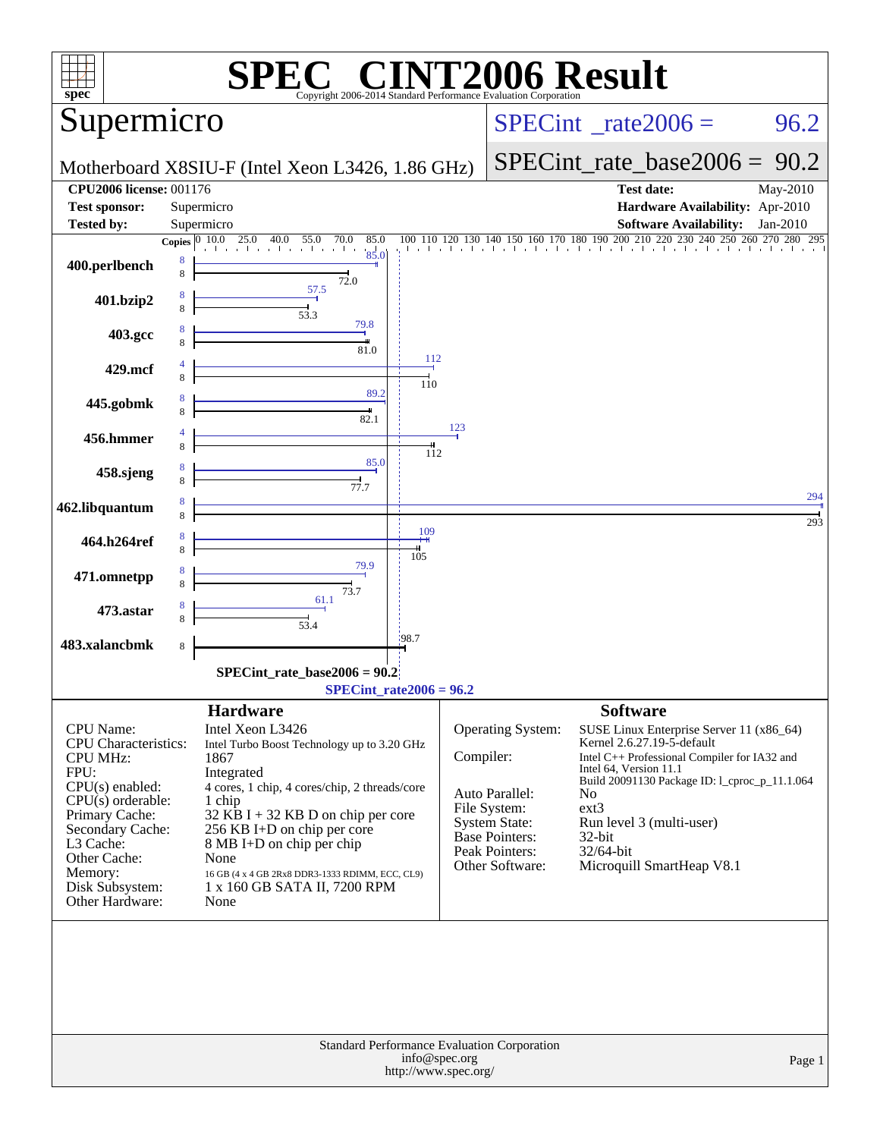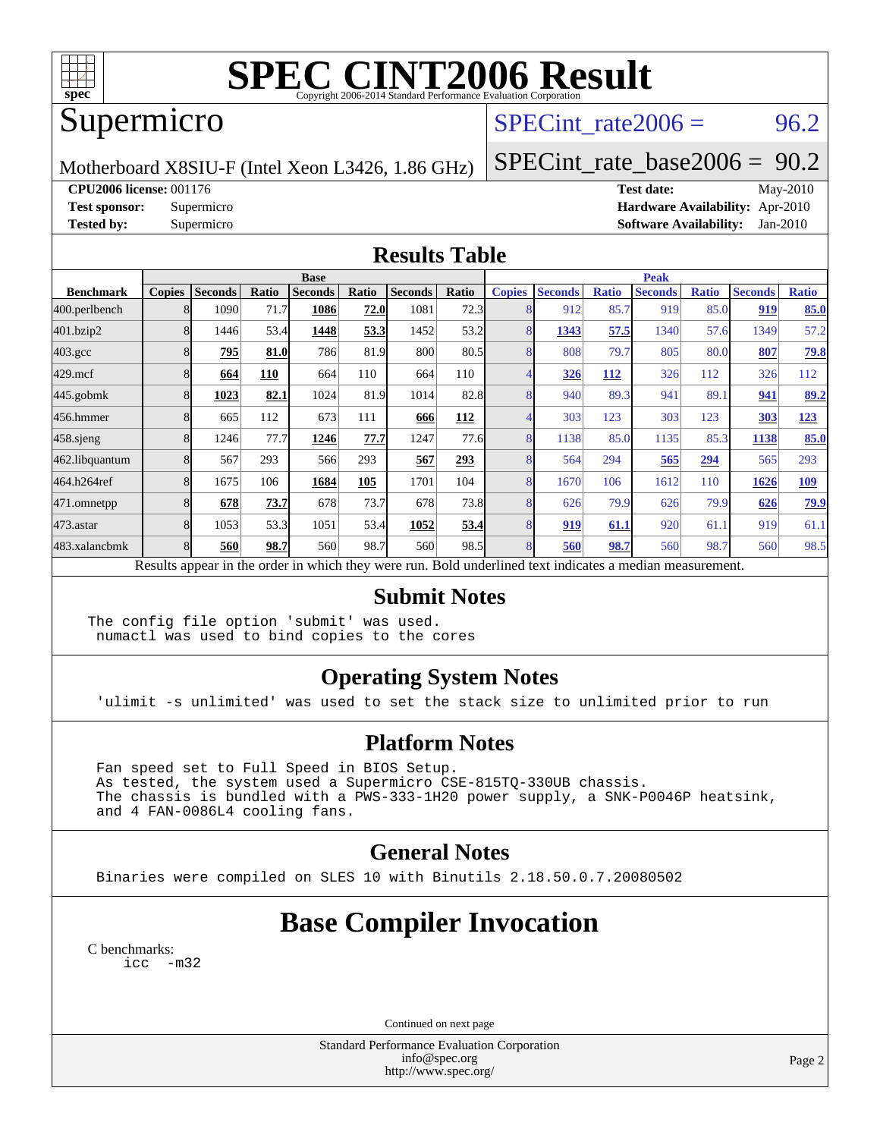

# **[SPEC CINT2006 Result](http://www.spec.org/auto/cpu2006/Docs/result-fields.html#SPECCINT2006Result)**

## Supermicro

### SPECint rate  $2006 = 96.2$

Motherboard X8SIU-F (Intel Xeon L3426, 1.86 GHz)

[SPECint\\_rate\\_base2006 =](http://www.spec.org/auto/cpu2006/Docs/result-fields.html#SPECintratebase2006) 90.2

**[CPU2006 license:](http://www.spec.org/auto/cpu2006/Docs/result-fields.html#CPU2006license)** 001176 **[Test date:](http://www.spec.org/auto/cpu2006/Docs/result-fields.html#Testdate)** May-2010

**[Test sponsor:](http://www.spec.org/auto/cpu2006/Docs/result-fields.html#Testsponsor)** Supermicro **[Hardware Availability:](http://www.spec.org/auto/cpu2006/Docs/result-fields.html#HardwareAvailability)** Apr-2010 **[Tested by:](http://www.spec.org/auto/cpu2006/Docs/result-fields.html#Testedby)** Supermicro **[Software Availability:](http://www.spec.org/auto/cpu2006/Docs/result-fields.html#SoftwareAvailability)** Jan-2010

#### **[Results Table](http://www.spec.org/auto/cpu2006/Docs/result-fields.html#ResultsTable)**

|                                                                                                          | <b>Base</b>   |                |       |                |       |                |            | <b>Peak</b>   |                |              |                |              |                |              |
|----------------------------------------------------------------------------------------------------------|---------------|----------------|-------|----------------|-------|----------------|------------|---------------|----------------|--------------|----------------|--------------|----------------|--------------|
| <b>Benchmark</b>                                                                                         | <b>Copies</b> | <b>Seconds</b> | Ratio | <b>Seconds</b> | Ratio | <b>Seconds</b> | Ratio      | <b>Copies</b> | <b>Seconds</b> | <b>Ratio</b> | <b>Seconds</b> | <b>Ratio</b> | <b>Seconds</b> | <b>Ratio</b> |
| 400.perlbench                                                                                            |               | 1090           | 71.7  | 1086           | 72.0  | 1081           | 72.3       |               | 912            | 85.7         | 919            | 85.0         | 919            | 85.0         |
| 401.bzip2                                                                                                |               | 1446           | 53.4  | 1448           | 53.3  | 1452           | 53.2       |               | 1343           | 57.5         | 1340           | 57.6         | 1349           | 57.2         |
| $403.\text{gcc}$                                                                                         |               | 795            | 81.0  | 786            | 81.9  | 800            | 80.5       |               | 808            | 79.7         | 805            | 80.0         | 807            | 79.8         |
| $429$ .mcf                                                                                               |               | 664            | 110   | 664            | 110   | 664            | 110        |               | 326            | 112          | 326            | 112          | 326            | 112          |
| $445$ .gobmk                                                                                             |               | 1023           | 82.1  | 1024           | 81.9  | 1014           | 82.8       |               | 940            | 89.3         | 941            | 89.1         | 941            | 89.2         |
| 456.hmmer                                                                                                |               | 665            | 112   | 673            | 111   | 666            | <b>112</b> |               | 303            | 123          | 303            | 123          | 303            | 123          |
| $458$ .sjeng                                                                                             |               | 1246           | 77.7  | 1246           | 77.7  | 1247           | 77.6       | 8             | 1138           | 85.0         | 1135           | 85.3         | 1138           | <u>85.0</u>  |
| 462.libquantum                                                                                           |               | 567            | 293   | 566            | 293   | 567            | 293        |               | 564            | 294          | 565            | 294          | 565            | 293          |
| 464.h264ref                                                                                              |               | 1675           | 106   | 1684           | 105   | 1701           | 104        |               | 1670           | 106          | 1612           | 110          | 1626           | <b>109</b>   |
| 471.omnetpp                                                                                              |               | 678            | 73.7  | 678            | 73.7  | 678            | 73.8       |               | 626            | 79.9         | 626            | 79.9         | 626            | 79.9         |
| 473.astar                                                                                                |               | 1053           | 53.3  | 1051           | 53.4  | 1052           | 53.4       |               | 919            | 61.1         | 920            | 61.1         | 919            | 61.1         |
| 483.xalancbmk                                                                                            |               | 560            | 98.7  | 560            | 98.7  | 560            | 98.5       |               | 560            | 98.7         | 560            | 98.7         | 560            | 98.5         |
| Results appear in the order in which they were run. Bold underlined text indicates a median measurement. |               |                |       |                |       |                |            |               |                |              |                |              |                |              |

#### **[Submit Notes](http://www.spec.org/auto/cpu2006/Docs/result-fields.html#SubmitNotes)**

The config file option 'submit' was used. numactl was used to bind copies to the cores

### **[Operating System Notes](http://www.spec.org/auto/cpu2006/Docs/result-fields.html#OperatingSystemNotes)**

'ulimit -s unlimited' was used to set the stack size to unlimited prior to run

### **[Platform Notes](http://www.spec.org/auto/cpu2006/Docs/result-fields.html#PlatformNotes)**

 Fan speed set to Full Speed in BIOS Setup. As tested, the system used a Supermicro CSE-815TQ-330UB chassis. The chassis is bundled with a PWS-333-1H20 power supply, a SNK-P0046P heatsink, and 4 FAN-0086L4 cooling fans.

#### **[General Notes](http://www.spec.org/auto/cpu2006/Docs/result-fields.html#GeneralNotes)**

Binaries were compiled on SLES 10 with Binutils 2.18.50.0.7.20080502

## **[Base Compiler Invocation](http://www.spec.org/auto/cpu2006/Docs/result-fields.html#BaseCompilerInvocation)**

[C benchmarks](http://www.spec.org/auto/cpu2006/Docs/result-fields.html#Cbenchmarks): [icc -m32](http://www.spec.org/cpu2006/results/res2010q3/cpu2006-20100608-11673.flags.html#user_CCbase_intel_icc_32bit_5ff4a39e364c98233615fdd38438c6f2)

Continued on next page

Standard Performance Evaluation Corporation [info@spec.org](mailto:info@spec.org) <http://www.spec.org/>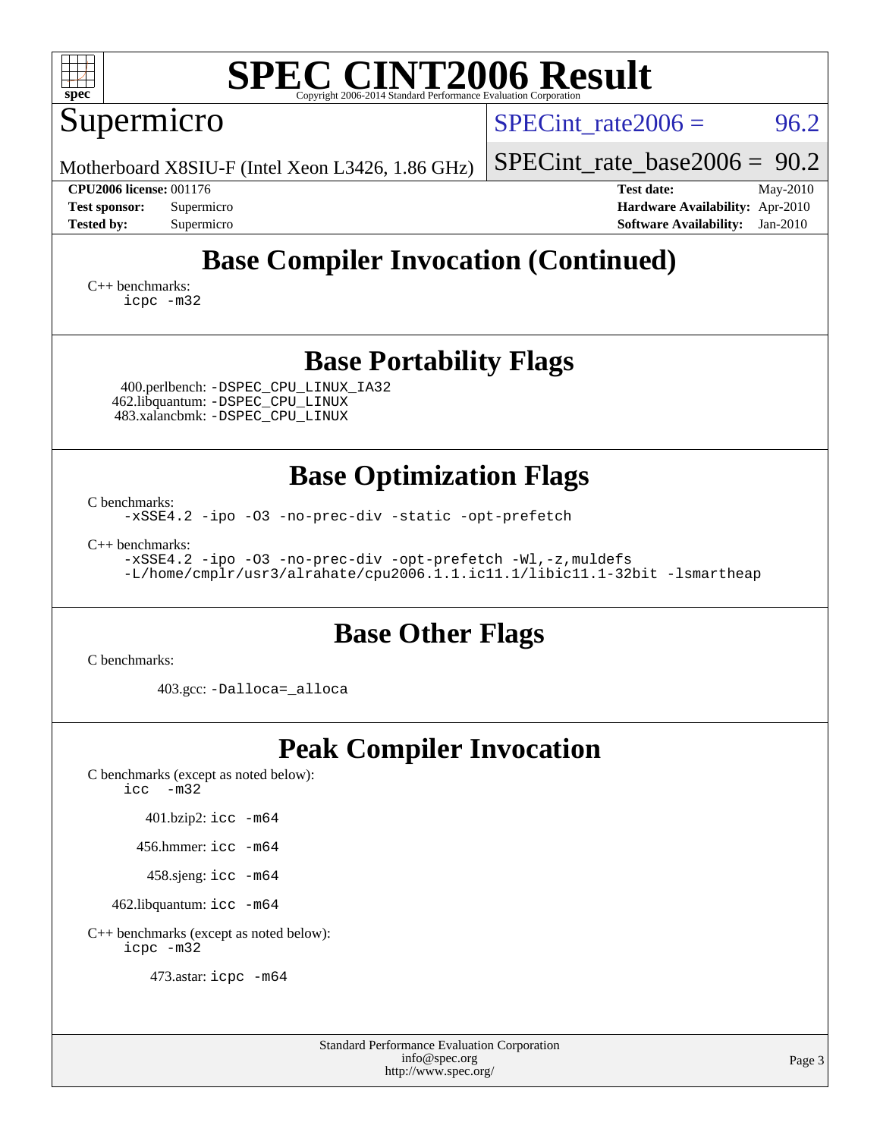| <b>SPEC CINT2006 Result</b><br>$spec^*$<br>Copyright 2006-2014 Standard Performance Evaluation Corporation                                                                                                                           |  |  |  |  |  |  |  |  |  |  |  |
|--------------------------------------------------------------------------------------------------------------------------------------------------------------------------------------------------------------------------------------|--|--|--|--|--|--|--|--|--|--|--|
| 96.2<br>$SPECint$ rate $2006 =$                                                                                                                                                                                                      |  |  |  |  |  |  |  |  |  |  |  |
| $SPECint_rate_base2006 = 90.2$                                                                                                                                                                                                       |  |  |  |  |  |  |  |  |  |  |  |
| <b>Test date:</b><br>May-2010<br>Hardware Availability: Apr-2010<br><b>Software Availability:</b><br>$Jan-2010$                                                                                                                      |  |  |  |  |  |  |  |  |  |  |  |
| <b>Tested by:</b><br>Supermicro<br><b>Base Compiler Invocation (Continued)</b>                                                                                                                                                       |  |  |  |  |  |  |  |  |  |  |  |
|                                                                                                                                                                                                                                      |  |  |  |  |  |  |  |  |  |  |  |
| <b>Base Portability Flags</b>                                                                                                                                                                                                        |  |  |  |  |  |  |  |  |  |  |  |
| <b>Base Optimization Flags</b><br>-xSSE4.2 -ipo -03 -no-prec-div -static -opt-prefetch<br>-xSSE4.2 -ipo -03 -no-prec-div -opt-prefetch -Wl,-z, muldefs<br>-L/home/cmplr/usr3/alrahate/cpu2006.1.1.ic11.1/libic11.1-32bit -lsmartheap |  |  |  |  |  |  |  |  |  |  |  |
| <b>Base Other Flags</b>                                                                                                                                                                                                              |  |  |  |  |  |  |  |  |  |  |  |
|                                                                                                                                                                                                                                      |  |  |  |  |  |  |  |  |  |  |  |
| <b>Peak Compiler Invocation</b>                                                                                                                                                                                                      |  |  |  |  |  |  |  |  |  |  |  |
|                                                                                                                                                                                                                                      |  |  |  |  |  |  |  |  |  |  |  |

[C++ benchmarks \(except as noted below\):](http://www.spec.org/auto/cpu2006/Docs/result-fields.html#CXXbenchmarksexceptasnotedbelow) [icpc -m32](http://www.spec.org/cpu2006/results/res2010q3/cpu2006-20100608-11673.flags.html#user_CXXpeak_intel_icpc_32bit_4e5a5ef1a53fd332b3c49e69c3330699)

473.astar: [icpc -m64](http://www.spec.org/cpu2006/results/res2010q3/cpu2006-20100608-11673.flags.html#user_peakCXXLD473_astar_intel_icpc_64bit_fc66a5337ce925472a5c54ad6a0de310)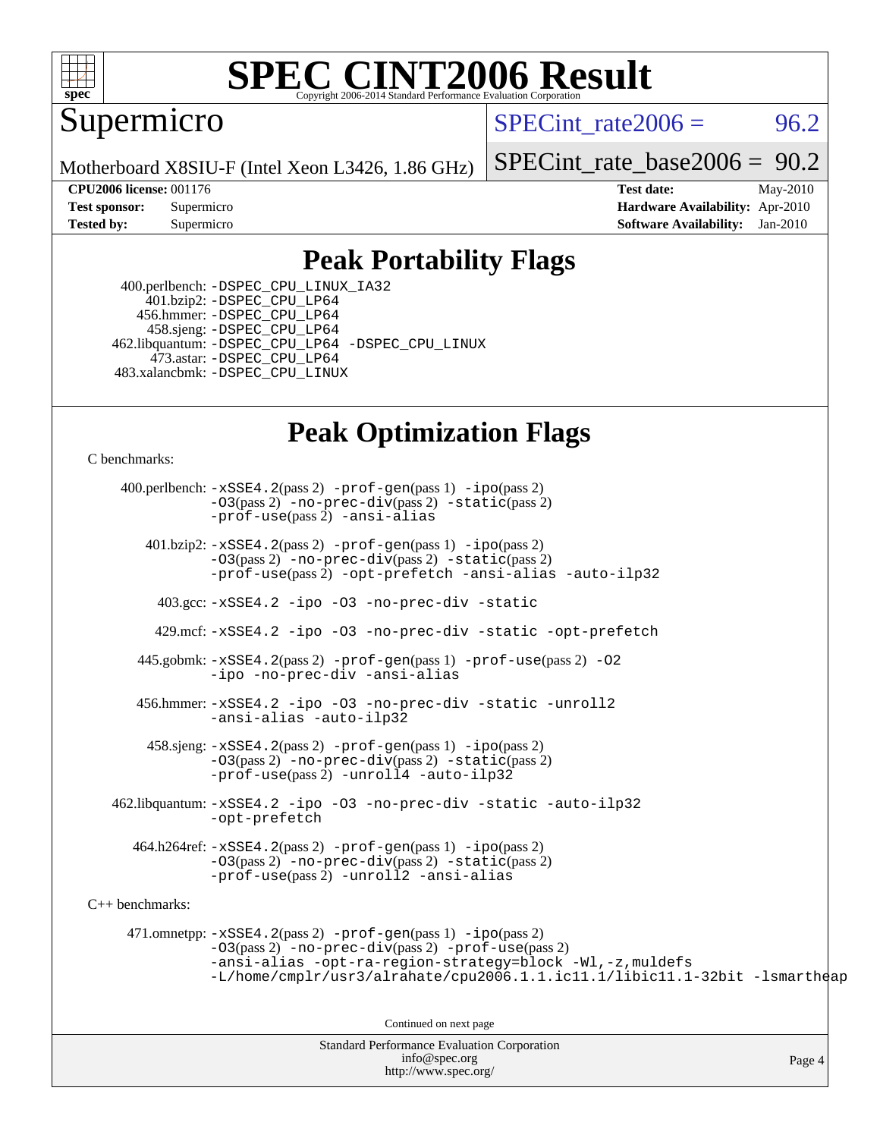

# **[SPEC CINT2006 Result](http://www.spec.org/auto/cpu2006/Docs/result-fields.html#SPECCINT2006Result)**

Supermicro

SPECint rate $2006 = 96.2$ 

Motherboard X8SIU-F (Intel Xeon L3426, 1.86 GHz)

[SPECint\\_rate\\_base2006 =](http://www.spec.org/auto/cpu2006/Docs/result-fields.html#SPECintratebase2006) 90.2

**[CPU2006 license:](http://www.spec.org/auto/cpu2006/Docs/result-fields.html#CPU2006license)** 001176 **[Test date:](http://www.spec.org/auto/cpu2006/Docs/result-fields.html#Testdate)** May-2010 **[Test sponsor:](http://www.spec.org/auto/cpu2006/Docs/result-fields.html#Testsponsor)** Supermicro **[Hardware Availability:](http://www.spec.org/auto/cpu2006/Docs/result-fields.html#HardwareAvailability)** Apr-2010 **[Tested by:](http://www.spec.org/auto/cpu2006/Docs/result-fields.html#Testedby)** Supermicro **[Software Availability:](http://www.spec.org/auto/cpu2006/Docs/result-fields.html#SoftwareAvailability)** Jan-2010

## **[Peak Portability Flags](http://www.spec.org/auto/cpu2006/Docs/result-fields.html#PeakPortabilityFlags)**

 400.perlbench: [-DSPEC\\_CPU\\_LINUX\\_IA32](http://www.spec.org/cpu2006/results/res2010q3/cpu2006-20100608-11673.flags.html#b400.perlbench_peakCPORTABILITY_DSPEC_CPU_LINUX_IA32) 401.bzip2: [-DSPEC\\_CPU\\_LP64](http://www.spec.org/cpu2006/results/res2010q3/cpu2006-20100608-11673.flags.html#suite_peakCPORTABILITY401_bzip2_DSPEC_CPU_LP64) 456.hmmer: [-DSPEC\\_CPU\\_LP64](http://www.spec.org/cpu2006/results/res2010q3/cpu2006-20100608-11673.flags.html#suite_peakCPORTABILITY456_hmmer_DSPEC_CPU_LP64) 458.sjeng: [-DSPEC\\_CPU\\_LP64](http://www.spec.org/cpu2006/results/res2010q3/cpu2006-20100608-11673.flags.html#suite_peakCPORTABILITY458_sjeng_DSPEC_CPU_LP64) 462.libquantum: [-DSPEC\\_CPU\\_LP64](http://www.spec.org/cpu2006/results/res2010q3/cpu2006-20100608-11673.flags.html#suite_peakCPORTABILITY462_libquantum_DSPEC_CPU_LP64) [-DSPEC\\_CPU\\_LINUX](http://www.spec.org/cpu2006/results/res2010q3/cpu2006-20100608-11673.flags.html#b462.libquantum_peakCPORTABILITY_DSPEC_CPU_LINUX) 473.astar: [-DSPEC\\_CPU\\_LP64](http://www.spec.org/cpu2006/results/res2010q3/cpu2006-20100608-11673.flags.html#suite_peakCXXPORTABILITY473_astar_DSPEC_CPU_LP64) 483.xalancbmk: [-DSPEC\\_CPU\\_LINUX](http://www.spec.org/cpu2006/results/res2010q3/cpu2006-20100608-11673.flags.html#b483.xalancbmk_peakCXXPORTABILITY_DSPEC_CPU_LINUX)

## **[Peak Optimization Flags](http://www.spec.org/auto/cpu2006/Docs/result-fields.html#PeakOptimizationFlags)**

[C benchmarks](http://www.spec.org/auto/cpu2006/Docs/result-fields.html#Cbenchmarks):

Standard Performance Evaluation Corporation 400.perlbench: [-xSSE4.2](http://www.spec.org/cpu2006/results/res2010q3/cpu2006-20100608-11673.flags.html#user_peakPASS2_CFLAGSPASS2_LDCFLAGS400_perlbench_f-xSSE42_f91528193cf0b216347adb8b939d4107)(pass 2) [-prof-gen](http://www.spec.org/cpu2006/results/res2010q3/cpu2006-20100608-11673.flags.html#user_peakPASS1_CFLAGSPASS1_LDCFLAGS400_perlbench_prof_gen_e43856698f6ca7b7e442dfd80e94a8fc)(pass 1) [-ipo](http://www.spec.org/cpu2006/results/res2010q3/cpu2006-20100608-11673.flags.html#user_peakPASS2_CFLAGSPASS2_LDCFLAGS400_perlbench_f-ipo)(pass 2) [-O3](http://www.spec.org/cpu2006/results/res2010q3/cpu2006-20100608-11673.flags.html#user_peakPASS2_CFLAGSPASS2_LDCFLAGS400_perlbench_f-O3)(pass 2) [-no-prec-div](http://www.spec.org/cpu2006/results/res2010q3/cpu2006-20100608-11673.flags.html#user_peakPASS2_CFLAGSPASS2_LDCFLAGS400_perlbench_f-no-prec-div)(pass 2) [-static](http://www.spec.org/cpu2006/results/res2010q3/cpu2006-20100608-11673.flags.html#user_peakPASS2_CFLAGSPASS2_LDCFLAGS400_perlbench_f-static)(pass 2) [-prof-use](http://www.spec.org/cpu2006/results/res2010q3/cpu2006-20100608-11673.flags.html#user_peakPASS2_CFLAGSPASS2_LDCFLAGS400_perlbench_prof_use_bccf7792157ff70d64e32fe3e1250b55)(pass 2) [-ansi-alias](http://www.spec.org/cpu2006/results/res2010q3/cpu2006-20100608-11673.flags.html#user_peakCOPTIMIZE400_perlbench_f-ansi-alias) 401.bzip2: [-xSSE4.2](http://www.spec.org/cpu2006/results/res2010q3/cpu2006-20100608-11673.flags.html#user_peakPASS2_CFLAGSPASS2_LDCFLAGS401_bzip2_f-xSSE42_f91528193cf0b216347adb8b939d4107)(pass 2) [-prof-gen](http://www.spec.org/cpu2006/results/res2010q3/cpu2006-20100608-11673.flags.html#user_peakPASS1_CFLAGSPASS1_LDCFLAGS401_bzip2_prof_gen_e43856698f6ca7b7e442dfd80e94a8fc)(pass 1) [-ipo](http://www.spec.org/cpu2006/results/res2010q3/cpu2006-20100608-11673.flags.html#user_peakPASS2_CFLAGSPASS2_LDCFLAGS401_bzip2_f-ipo)(pass 2) [-O3](http://www.spec.org/cpu2006/results/res2010q3/cpu2006-20100608-11673.flags.html#user_peakPASS2_CFLAGSPASS2_LDCFLAGS401_bzip2_f-O3)(pass 2) [-no-prec-div](http://www.spec.org/cpu2006/results/res2010q3/cpu2006-20100608-11673.flags.html#user_peakPASS2_CFLAGSPASS2_LDCFLAGS401_bzip2_f-no-prec-div)(pass 2) [-static](http://www.spec.org/cpu2006/results/res2010q3/cpu2006-20100608-11673.flags.html#user_peakPASS2_CFLAGSPASS2_LDCFLAGS401_bzip2_f-static)(pass 2) [-prof-use](http://www.spec.org/cpu2006/results/res2010q3/cpu2006-20100608-11673.flags.html#user_peakPASS2_CFLAGSPASS2_LDCFLAGS401_bzip2_prof_use_bccf7792157ff70d64e32fe3e1250b55)(pass 2) [-opt-prefetch](http://www.spec.org/cpu2006/results/res2010q3/cpu2006-20100608-11673.flags.html#user_peakCOPTIMIZE401_bzip2_f-opt-prefetch) [-ansi-alias](http://www.spec.org/cpu2006/results/res2010q3/cpu2006-20100608-11673.flags.html#user_peakCOPTIMIZE401_bzip2_f-ansi-alias) [-auto-ilp32](http://www.spec.org/cpu2006/results/res2010q3/cpu2006-20100608-11673.flags.html#user_peakCOPTIMIZE401_bzip2_f-auto-ilp32) 403.gcc: [-xSSE4.2](http://www.spec.org/cpu2006/results/res2010q3/cpu2006-20100608-11673.flags.html#user_peakCOPTIMIZE403_gcc_f-xSSE42_f91528193cf0b216347adb8b939d4107) [-ipo](http://www.spec.org/cpu2006/results/res2010q3/cpu2006-20100608-11673.flags.html#user_peakCOPTIMIZE403_gcc_f-ipo) [-O3](http://www.spec.org/cpu2006/results/res2010q3/cpu2006-20100608-11673.flags.html#user_peakCOPTIMIZE403_gcc_f-O3) [-no-prec-div](http://www.spec.org/cpu2006/results/res2010q3/cpu2006-20100608-11673.flags.html#user_peakCOPTIMIZE403_gcc_f-no-prec-div) [-static](http://www.spec.org/cpu2006/results/res2010q3/cpu2006-20100608-11673.flags.html#user_peakCOPTIMIZE403_gcc_f-static) 429.mcf: [-xSSE4.2](http://www.spec.org/cpu2006/results/res2010q3/cpu2006-20100608-11673.flags.html#user_peakCOPTIMIZE429_mcf_f-xSSE42_f91528193cf0b216347adb8b939d4107) [-ipo](http://www.spec.org/cpu2006/results/res2010q3/cpu2006-20100608-11673.flags.html#user_peakCOPTIMIZE429_mcf_f-ipo) [-O3](http://www.spec.org/cpu2006/results/res2010q3/cpu2006-20100608-11673.flags.html#user_peakCOPTIMIZE429_mcf_f-O3) [-no-prec-div](http://www.spec.org/cpu2006/results/res2010q3/cpu2006-20100608-11673.flags.html#user_peakCOPTIMIZE429_mcf_f-no-prec-div) [-static](http://www.spec.org/cpu2006/results/res2010q3/cpu2006-20100608-11673.flags.html#user_peakCOPTIMIZE429_mcf_f-static) [-opt-prefetch](http://www.spec.org/cpu2006/results/res2010q3/cpu2006-20100608-11673.flags.html#user_peakCOPTIMIZE429_mcf_f-opt-prefetch) 445.gobmk: [-xSSE4.2](http://www.spec.org/cpu2006/results/res2010q3/cpu2006-20100608-11673.flags.html#user_peakPASS2_CFLAGSPASS2_LDCFLAGS445_gobmk_f-xSSE42_f91528193cf0b216347adb8b939d4107)(pass 2) [-prof-gen](http://www.spec.org/cpu2006/results/res2010q3/cpu2006-20100608-11673.flags.html#user_peakPASS1_CFLAGSPASS1_LDCFLAGS445_gobmk_prof_gen_e43856698f6ca7b7e442dfd80e94a8fc)(pass 1) [-prof-use](http://www.spec.org/cpu2006/results/res2010q3/cpu2006-20100608-11673.flags.html#user_peakPASS2_CFLAGSPASS2_LDCFLAGS445_gobmk_prof_use_bccf7792157ff70d64e32fe3e1250b55)(pass 2) [-O2](http://www.spec.org/cpu2006/results/res2010q3/cpu2006-20100608-11673.flags.html#user_peakCOPTIMIZE445_gobmk_f-O2) [-ipo](http://www.spec.org/cpu2006/results/res2010q3/cpu2006-20100608-11673.flags.html#user_peakCOPTIMIZE445_gobmk_f-ipo) [-no-prec-div](http://www.spec.org/cpu2006/results/res2010q3/cpu2006-20100608-11673.flags.html#user_peakCOPTIMIZE445_gobmk_f-no-prec-div) [-ansi-alias](http://www.spec.org/cpu2006/results/res2010q3/cpu2006-20100608-11673.flags.html#user_peakCOPTIMIZE445_gobmk_f-ansi-alias) 456.hmmer: [-xSSE4.2](http://www.spec.org/cpu2006/results/res2010q3/cpu2006-20100608-11673.flags.html#user_peakCOPTIMIZE456_hmmer_f-xSSE42_f91528193cf0b216347adb8b939d4107) [-ipo](http://www.spec.org/cpu2006/results/res2010q3/cpu2006-20100608-11673.flags.html#user_peakCOPTIMIZE456_hmmer_f-ipo) [-O3](http://www.spec.org/cpu2006/results/res2010q3/cpu2006-20100608-11673.flags.html#user_peakCOPTIMIZE456_hmmer_f-O3) [-no-prec-div](http://www.spec.org/cpu2006/results/res2010q3/cpu2006-20100608-11673.flags.html#user_peakCOPTIMIZE456_hmmer_f-no-prec-div) [-static](http://www.spec.org/cpu2006/results/res2010q3/cpu2006-20100608-11673.flags.html#user_peakCOPTIMIZE456_hmmer_f-static) [-unroll2](http://www.spec.org/cpu2006/results/res2010q3/cpu2006-20100608-11673.flags.html#user_peakCOPTIMIZE456_hmmer_f-unroll_784dae83bebfb236979b41d2422d7ec2) [-ansi-alias](http://www.spec.org/cpu2006/results/res2010q3/cpu2006-20100608-11673.flags.html#user_peakCOPTIMIZE456_hmmer_f-ansi-alias) [-auto-ilp32](http://www.spec.org/cpu2006/results/res2010q3/cpu2006-20100608-11673.flags.html#user_peakCOPTIMIZE456_hmmer_f-auto-ilp32)  $458 \text{.}$  sjeng:  $-xSSE4$ .  $2(\text{pass 2})$  -prof-qen(pass 1) [-ipo](http://www.spec.org/cpu2006/results/res2010q3/cpu2006-20100608-11673.flags.html#user_peakPASS2_CFLAGSPASS2_LDCFLAGS458_sjeng_f-ipo)(pass 2) [-O3](http://www.spec.org/cpu2006/results/res2010q3/cpu2006-20100608-11673.flags.html#user_peakPASS2_CFLAGSPASS2_LDCFLAGS458_sjeng_f-O3)(pass 2) [-no-prec-div](http://www.spec.org/cpu2006/results/res2010q3/cpu2006-20100608-11673.flags.html#user_peakPASS2_CFLAGSPASS2_LDCFLAGS458_sjeng_f-no-prec-div)(pass 2) [-static](http://www.spec.org/cpu2006/results/res2010q3/cpu2006-20100608-11673.flags.html#user_peakPASS2_CFLAGSPASS2_LDCFLAGS458_sjeng_f-static)(pass 2) [-prof-use](http://www.spec.org/cpu2006/results/res2010q3/cpu2006-20100608-11673.flags.html#user_peakPASS2_CFLAGSPASS2_LDCFLAGS458_sjeng_prof_use_bccf7792157ff70d64e32fe3e1250b55)(pass 2) [-unroll4](http://www.spec.org/cpu2006/results/res2010q3/cpu2006-20100608-11673.flags.html#user_peakCOPTIMIZE458_sjeng_f-unroll_4e5e4ed65b7fd20bdcd365bec371b81f) [-auto-ilp32](http://www.spec.org/cpu2006/results/res2010q3/cpu2006-20100608-11673.flags.html#user_peakCOPTIMIZE458_sjeng_f-auto-ilp32) 462.libquantum: [-xSSE4.2](http://www.spec.org/cpu2006/results/res2010q3/cpu2006-20100608-11673.flags.html#user_peakCOPTIMIZE462_libquantum_f-xSSE42_f91528193cf0b216347adb8b939d4107) [-ipo](http://www.spec.org/cpu2006/results/res2010q3/cpu2006-20100608-11673.flags.html#user_peakCOPTIMIZE462_libquantum_f-ipo) [-O3](http://www.spec.org/cpu2006/results/res2010q3/cpu2006-20100608-11673.flags.html#user_peakCOPTIMIZE462_libquantum_f-O3) [-no-prec-div](http://www.spec.org/cpu2006/results/res2010q3/cpu2006-20100608-11673.flags.html#user_peakCOPTIMIZE462_libquantum_f-no-prec-div) [-static](http://www.spec.org/cpu2006/results/res2010q3/cpu2006-20100608-11673.flags.html#user_peakCOPTIMIZE462_libquantum_f-static) [-auto-ilp32](http://www.spec.org/cpu2006/results/res2010q3/cpu2006-20100608-11673.flags.html#user_peakCOPTIMIZE462_libquantum_f-auto-ilp32) [-opt-prefetch](http://www.spec.org/cpu2006/results/res2010q3/cpu2006-20100608-11673.flags.html#user_peakCOPTIMIZE462_libquantum_f-opt-prefetch) 464.h264ref: [-xSSE4.2](http://www.spec.org/cpu2006/results/res2010q3/cpu2006-20100608-11673.flags.html#user_peakPASS2_CFLAGSPASS2_LDCFLAGS464_h264ref_f-xSSE42_f91528193cf0b216347adb8b939d4107)(pass 2) [-prof-gen](http://www.spec.org/cpu2006/results/res2010q3/cpu2006-20100608-11673.flags.html#user_peakPASS1_CFLAGSPASS1_LDCFLAGS464_h264ref_prof_gen_e43856698f6ca7b7e442dfd80e94a8fc)(pass 1) [-ipo](http://www.spec.org/cpu2006/results/res2010q3/cpu2006-20100608-11673.flags.html#user_peakPASS2_CFLAGSPASS2_LDCFLAGS464_h264ref_f-ipo)(pass 2) [-O3](http://www.spec.org/cpu2006/results/res2010q3/cpu2006-20100608-11673.flags.html#user_peakPASS2_CFLAGSPASS2_LDCFLAGS464_h264ref_f-O3)(pass 2) [-no-prec-div](http://www.spec.org/cpu2006/results/res2010q3/cpu2006-20100608-11673.flags.html#user_peakPASS2_CFLAGSPASS2_LDCFLAGS464_h264ref_f-no-prec-div)(pass 2) [-static](http://www.spec.org/cpu2006/results/res2010q3/cpu2006-20100608-11673.flags.html#user_peakPASS2_CFLAGSPASS2_LDCFLAGS464_h264ref_f-static)(pass 2) [-prof-use](http://www.spec.org/cpu2006/results/res2010q3/cpu2006-20100608-11673.flags.html#user_peakPASS2_CFLAGSPASS2_LDCFLAGS464_h264ref_prof_use_bccf7792157ff70d64e32fe3e1250b55)(pass 2) [-unroll2](http://www.spec.org/cpu2006/results/res2010q3/cpu2006-20100608-11673.flags.html#user_peakCOPTIMIZE464_h264ref_f-unroll_784dae83bebfb236979b41d2422d7ec2) [-ansi-alias](http://www.spec.org/cpu2006/results/res2010q3/cpu2006-20100608-11673.flags.html#user_peakCOPTIMIZE464_h264ref_f-ansi-alias) [C++ benchmarks:](http://www.spec.org/auto/cpu2006/Docs/result-fields.html#CXXbenchmarks) 471.omnetpp: [-xSSE4.2](http://www.spec.org/cpu2006/results/res2010q3/cpu2006-20100608-11673.flags.html#user_peakPASS2_CXXFLAGSPASS2_LDCXXFLAGS471_omnetpp_f-xSSE42_f91528193cf0b216347adb8b939d4107)(pass 2) [-prof-gen](http://www.spec.org/cpu2006/results/res2010q3/cpu2006-20100608-11673.flags.html#user_peakPASS1_CXXFLAGSPASS1_LDCXXFLAGS471_omnetpp_prof_gen_e43856698f6ca7b7e442dfd80e94a8fc)(pass 1) [-ipo](http://www.spec.org/cpu2006/results/res2010q3/cpu2006-20100608-11673.flags.html#user_peakPASS2_CXXFLAGSPASS2_LDCXXFLAGS471_omnetpp_f-ipo)(pass 2) [-O3](http://www.spec.org/cpu2006/results/res2010q3/cpu2006-20100608-11673.flags.html#user_peakPASS2_CXXFLAGSPASS2_LDCXXFLAGS471_omnetpp_f-O3)(pass 2) [-no-prec-div](http://www.spec.org/cpu2006/results/res2010q3/cpu2006-20100608-11673.flags.html#user_peakPASS2_CXXFLAGSPASS2_LDCXXFLAGS471_omnetpp_f-no-prec-div)(pass 2) [-prof-use](http://www.spec.org/cpu2006/results/res2010q3/cpu2006-20100608-11673.flags.html#user_peakPASS2_CXXFLAGSPASS2_LDCXXFLAGS471_omnetpp_prof_use_bccf7792157ff70d64e32fe3e1250b55)(pass 2) [-ansi-alias](http://www.spec.org/cpu2006/results/res2010q3/cpu2006-20100608-11673.flags.html#user_peakCXXOPTIMIZE471_omnetpp_f-ansi-alias) [-opt-ra-region-strategy=block](http://www.spec.org/cpu2006/results/res2010q3/cpu2006-20100608-11673.flags.html#user_peakCXXOPTIMIZE471_omnetpp_f-opt-ra-region-strategy-block_a0a37c372d03933b2a18d4af463c1f69) [-Wl,-z,muldefs](http://www.spec.org/cpu2006/results/res2010q3/cpu2006-20100608-11673.flags.html#user_peakEXTRA_LDFLAGS471_omnetpp_link_force_multiple1_74079c344b956b9658436fd1b6dd3a8a) [-L/home/cmplr/usr3/alrahate/cpu2006.1.1.ic11.1/libic11.1-32bit -lsmartheap](http://www.spec.org/cpu2006/results/res2010q3/cpu2006-20100608-11673.flags.html#user_peakEXTRA_LIBS471_omnetpp_SmartHeap_d86dffe4a79b79ef8890d5cce17030c3) Continued on next page

[info@spec.org](mailto:info@spec.org) <http://www.spec.org/>

Page 4